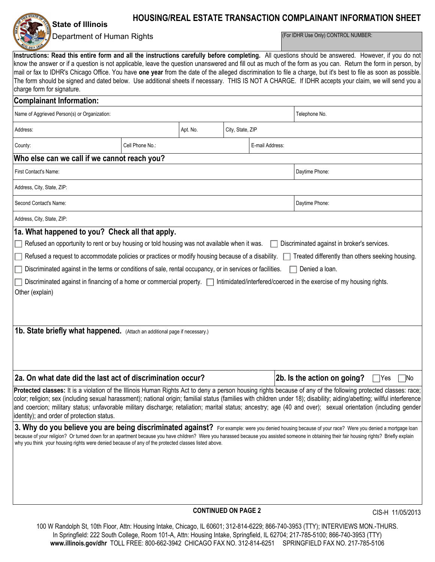**State of Illinois**

# **HOUSING/REAL ESTATE TRANSACTION COMPLAINANT INFORMATION SHEET**

## Department of Human Rights

(For IDHR Use Only) CONTROL NUMBER:

**Instructions: Read this entire form and all the instructions carefully before completing.** All questions should be answered. However, if you do not know the answer or if a question is not applicable, leave the question unanswered and fill out as much of the form as you can. Return the form in person, by mail or fax to IDHR's Chicago Office. You have **one year** from the date of the alleged discrimination to file a charge, but it's best to file as soon as possible. The form should be signed and dated below. Use additional sheets if necessary. THIS IS NOT A CHARGE. If IDHR accepts your claim, we will send you a charge form for signature.

| <b>Complainant Information:</b>                                                                                                                                                                                                                                                                                                            |                 |                            |                  |                 |                             |                  |  |
|--------------------------------------------------------------------------------------------------------------------------------------------------------------------------------------------------------------------------------------------------------------------------------------------------------------------------------------------|-----------------|----------------------------|------------------|-----------------|-----------------------------|------------------|--|
| Name of Aggrieved Person(s) or Organization:                                                                                                                                                                                                                                                                                               |                 |                            |                  |                 | Telephone No.               |                  |  |
| Address:                                                                                                                                                                                                                                                                                                                                   |                 | Apt. No.                   | City, State, ZIP |                 |                             |                  |  |
| County:                                                                                                                                                                                                                                                                                                                                    | Cell Phone No.: |                            |                  | E-mail Address: |                             |                  |  |
| Who else can we call if we cannot reach you?                                                                                                                                                                                                                                                                                               |                 |                            |                  |                 |                             |                  |  |
| First Contact's Name:                                                                                                                                                                                                                                                                                                                      | Daytime Phone:  |                            |                  |                 |                             |                  |  |
| Address, City, State, ZIP:                                                                                                                                                                                                                                                                                                                 |                 |                            |                  |                 |                             |                  |  |
| Second Contact's Name:                                                                                                                                                                                                                                                                                                                     |                 |                            |                  |                 | Daytime Phone:              |                  |  |
| Address, City, State, ZIP:                                                                                                                                                                                                                                                                                                                 |                 |                            |                  |                 |                             |                  |  |
| 1a. What happened to you? Check all that apply.                                                                                                                                                                                                                                                                                            |                 |                            |                  |                 |                             |                  |  |
| Refused an opportunity to rent or buy housing or told housing was not available when it was.<br>Discriminated against in broker's services.                                                                                                                                                                                                |                 |                            |                  |                 |                             |                  |  |
| Refused a request to accommodate policies or practices or modify housing because of a disability. Theated differently than others seeking housing.                                                                                                                                                                                         |                 |                            |                  |                 |                             |                  |  |
| Discriminated against in the terms or conditions of sale, rental occupancy, or in services or facilities.<br>Denied a loan.                                                                                                                                                                                                                |                 |                            |                  |                 |                             |                  |  |
| Discriminated against in financing of a home or commercial property.   Intimidated/interfered/coerced in the exercise of my housing rights.                                                                                                                                                                                                |                 |                            |                  |                 |                             |                  |  |
|                                                                                                                                                                                                                                                                                                                                            |                 |                            |                  |                 |                             |                  |  |
| Other (explain)                                                                                                                                                                                                                                                                                                                            |                 |                            |                  |                 |                             |                  |  |
|                                                                                                                                                                                                                                                                                                                                            |                 |                            |                  |                 |                             |                  |  |
|                                                                                                                                                                                                                                                                                                                                            |                 |                            |                  |                 |                             |                  |  |
| 1b. State briefly what happened. (Attach an additional page if necessary.)                                                                                                                                                                                                                                                                 |                 |                            |                  |                 |                             |                  |  |
|                                                                                                                                                                                                                                                                                                                                            |                 |                            |                  |                 |                             |                  |  |
|                                                                                                                                                                                                                                                                                                                                            |                 |                            |                  |                 |                             |                  |  |
|                                                                                                                                                                                                                                                                                                                                            |                 |                            |                  |                 |                             |                  |  |
| 2a. On what date did the last act of discrimination occur?                                                                                                                                                                                                                                                                                 |                 |                            |                  |                 | 2b. Is the action on going? | No<br> Yes       |  |
| Protected classes: It is a violation of the Illinois Human Rights Act to deny a person housing rights because of any of the following protected classes: race;                                                                                                                                                                             |                 |                            |                  |                 |                             |                  |  |
| color; religion; sex (including sexual harassment); national origin; familial status (families with children under 18); disability; aiding/abetting; willful interference<br>and coercion; military status; unfavorable military discharge; retaliation; marital status; ancestry; age (40 and over); sexual orientation (including gender |                 |                            |                  |                 |                             |                  |  |
| identity); and order of protection status.                                                                                                                                                                                                                                                                                                 |                 |                            |                  |                 |                             |                  |  |
| 3. Why do you believe you are being discriminated against? For example: were you denied housing because of your race? Were you denied a mortgage loan                                                                                                                                                                                      |                 |                            |                  |                 |                             |                  |  |
| because of your religion? Or turned down for an apartment because you have children? Were you harassed because you assisted someone in obtaining their fair housing rights? Briefly explain                                                                                                                                                |                 |                            |                  |                 |                             |                  |  |
| why you think your housing rights were denied because of any of the protected classes listed above.                                                                                                                                                                                                                                        |                 |                            |                  |                 |                             |                  |  |
|                                                                                                                                                                                                                                                                                                                                            |                 |                            |                  |                 |                             |                  |  |
|                                                                                                                                                                                                                                                                                                                                            |                 |                            |                  |                 |                             |                  |  |
|                                                                                                                                                                                                                                                                                                                                            |                 |                            |                  |                 |                             |                  |  |
|                                                                                                                                                                                                                                                                                                                                            |                 |                            |                  |                 |                             |                  |  |
|                                                                                                                                                                                                                                                                                                                                            |                 |                            |                  |                 |                             |                  |  |
|                                                                                                                                                                                                                                                                                                                                            |                 | <b>CONTINUED ON PAGE 2</b> |                  |                 |                             | CIS-H 11/05/2013 |  |

100 W Randolph St, 10th Floor, Attn: Housing Intake, Chicago, IL 60601; 312-814-6229; 866-740-3953 (TTY); INTERVIEWS MON.-THURS. In Springfield: 222 South College, Room 101-A, Attn: Housing Intake, Springfield, IL 62704; 217-785-5100; 866-740-3953 (TTY) **www.illinois.gov/dhr** TOLL FREE: 800-662-3942 CHICAGO FAX NO. 312-814-6251 SPRINGFIELD FAX NO. 217-785-5106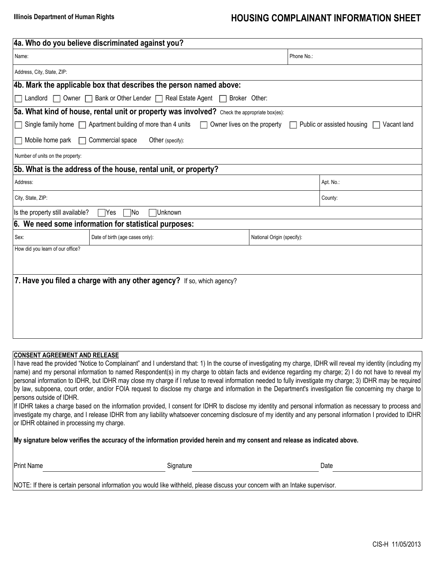# **Illinois Department of Human Rights Mateurs 2018 12 MBC HOUSING COMPLAINANT INFORMATION SHEET**

| 4a. Who do you believe discriminated against you?                                                                                             |                            |           |  |  |  |  |  |
|-----------------------------------------------------------------------------------------------------------------------------------------------|----------------------------|-----------|--|--|--|--|--|
| Name:                                                                                                                                         | Phone No.:                 |           |  |  |  |  |  |
| Address, City, State, ZIP:                                                                                                                    |                            |           |  |  |  |  |  |
| 4b. Mark the applicable box that describes the person named above:                                                                            |                            |           |  |  |  |  |  |
| Bank or Other Lender   Real Estate Agent<br>Owner $\Box$<br>Landlord $\Box$<br>Broker Other:<br>$\mathbf{I}$                                  |                            |           |  |  |  |  |  |
| 5a. What kind of house, rental unit or property was involved? Check the appropriate box(es):                                                  |                            |           |  |  |  |  |  |
| Single family home $\Box$ Apartment building of more than 4 units<br>Owner lives on the property<br>Public or assisted housing<br>Vacant land |                            |           |  |  |  |  |  |
| Mobile home park<br>$\Box$ Commercial space<br>Other (specify):                                                                               |                            |           |  |  |  |  |  |
| Number of units on the property:                                                                                                              |                            |           |  |  |  |  |  |
| 5b. What is the address of the house, rental unit, or property?                                                                               |                            |           |  |  |  |  |  |
| Address:                                                                                                                                      |                            | Apt. No.: |  |  |  |  |  |
| City, State, ZIP:                                                                                                                             |                            | County:   |  |  |  |  |  |
| Is the property still available?<br>Unknown<br>Yes<br>1No                                                                                     |                            |           |  |  |  |  |  |
| 6. We need some information for statistical purposes:                                                                                         |                            |           |  |  |  |  |  |
| Date of birth (age cases only):<br>Sex:                                                                                                       | National Origin (specify): |           |  |  |  |  |  |
| How did you learn of our office?                                                                                                              |                            |           |  |  |  |  |  |
|                                                                                                                                               |                            |           |  |  |  |  |  |
| 7. Have you filed a charge with any other agency? If so, which agency?                                                                        |                            |           |  |  |  |  |  |
|                                                                                                                                               |                            |           |  |  |  |  |  |

### **CONSENT AGREEMENT AND RELEASE**

Print Name Signature Date I have read the provided "Notice to Complainant" and I understand that: 1) In the course of investigating my charge, IDHR will reveal my identity (including my name) and my personal information to named Respondent(s) in my charge to obtain facts and evidence regarding my charge; 2) I do not have to reveal my personal information to IDHR, but IDHR may close my charge if I refuse to reveal information needed to fully investigate my charge; 3) IDHR may be required by law, subpoena, court order, and/or FOIA request to disclose my charge and information in the Department's investigation file concerning my charge to persons outside of IDHR. If IDHR takes a charge based on the information provided, I consent for IDHR to disclose my identity and personal information as necessary to process and investigate my charge, and I release IDHR from any liability whatsoever concerning disclosure of my identity and any personal information I provided to IDHR or IDHR obtained in processing my charge. **My signature below verifies the accuracy of the information provided herein and my consent and release as indicated above.**

NOTE: If there is certain personal information you would like withheld, please discuss your concern with an Intake supervisor.